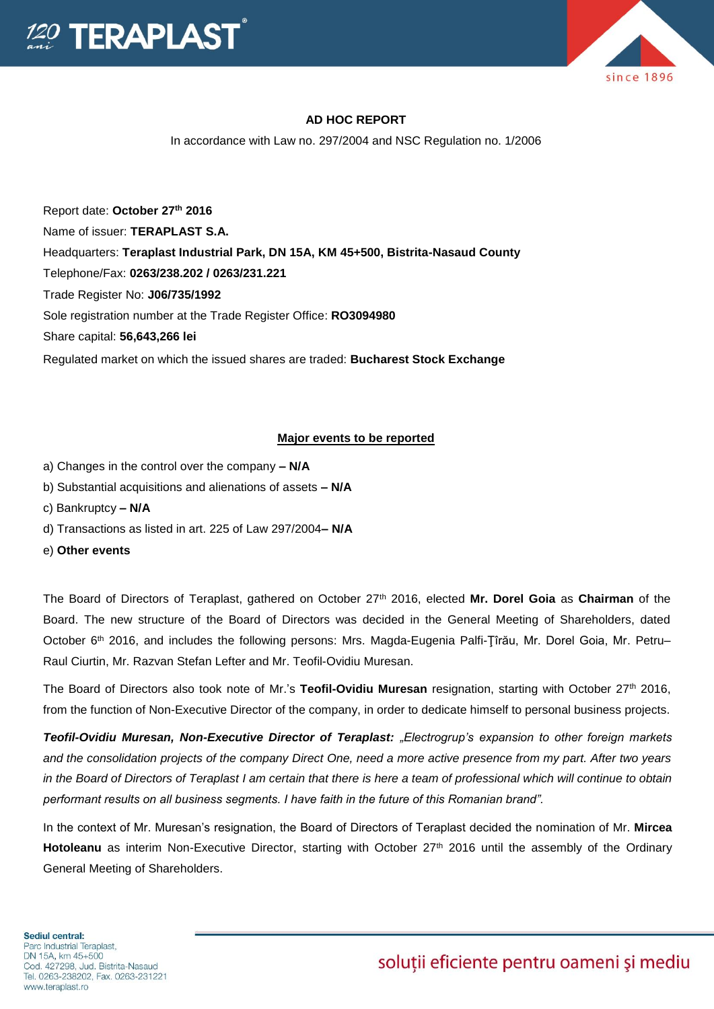



### **AD HOC REPORT**

In accordance with Law no. 297/2004 and NSC Regulation no. 1/2006

Report date: **October 27th 2016** Name of issuer: **TERAPLAST S.A.**  Headquarters: **Teraplast Industrial Park, DN 15A, KM 45+500, Bistrita-Nasaud County** Telephone/Fax: **0263/238.202 / 0263/231.221** Trade Register No: **J06/735/1992** Sole registration number at the Trade Register Office: **RO3094980** Share capital: **56,643,266 lei**  Regulated market on which the issued shares are traded: **Bucharest Stock Exchange**

#### **Major events to be reported**

- a) Changes in the control over the company **– N/A**
- b) Substantial acquisitions and alienations of assets **– N/A**
- c) Bankruptcy **– N/A**
- d) Transactions as listed in art. 225 of Law 297/2004**– N/A**
- e) **Other events**

The Board of Directors of Teraplast, gathered on October 27th 2016, elected **Mr. Dorel Goia** as **Chairman** of the Board. The new structure of the Board of Directors was decided in the General Meeting of Shareholders, dated October 6<sup>th</sup> 2016, and includes the following persons: Mrs. Magda-Eugenia Palfi-Țîrău, Mr. Dorel Goia, Mr. Petru– Raul Ciurtin, Mr. Razvan Stefan Lefter and Mr. Teofil-Ovidiu Muresan.

The Board of Directors also took note of Mr.'s **Teofil-Ovidiu Muresan** resignation, starting with October 27th 2016, from the function of Non-Executive Director of the company, in order to dedicate himself to personal business projects.

*Teofil-Ovidiu Muresan, Non-Executive Director of Teraplast: "Electrogrup's expansion to other foreign markets and the consolidation projects of the company Direct One, need a more active presence from my part. After two years in the Board of Directors of Teraplast I am certain that there is here a team of professional which will continue to obtain performant results on all business segments. I have faith in the future of this Romanian brand".* 

In the context of Mr. Muresan's resignation, the Board of Directors of Teraplast decided the nomination of Mr. **Mircea**  Hotoleanu as interim Non-Executive Director, starting with October 27<sup>th</sup> 2016 until the assembly of the Ordinary General Meeting of Shareholders.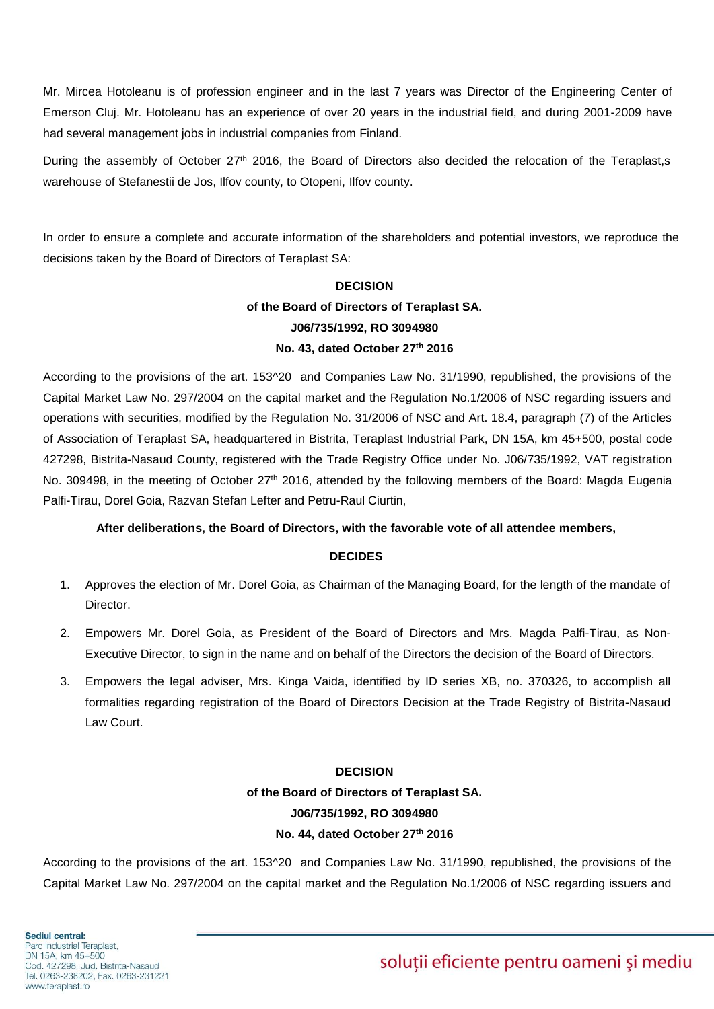Mr. Mircea Hotoleanu is of profession engineer and in the last 7 years was Director of the Engineering Center of Emerson Cluj. Mr. Hotoleanu has an experience of over 20 years in the industrial field, and during 2001-2009 have had several management jobs in industrial companies from Finland.

During the assembly of October 27<sup>th</sup> 2016, the Board of Directors also decided the relocation of the Teraplast,s warehouse of Stefanestii de Jos, Ilfov county, to Otopeni, Ilfov county.

In order to ensure a complete and accurate information of the shareholders and potential investors, we reproduce the decisions taken by the Board of Directors of Teraplast SA:

# **DECISION of the Board of Directors of Teraplast SA. J06/735/1992, RO 3094980 No. 43, dated October 27th 2016**

According to the provisions of the art. 153^20 and Companies Law No. 31/1990, republished, the provisions of the Capital Market Law No. 297/2004 on the capital market and the Regulation No.1/2006 of NSC regarding issuers and operations with securities, modified by the Regulation No. 31/2006 of NSC and Art. 18.4, paragraph (7) of the Articles of Association of Teraplast SA, headquartered in Bistrita, Teraplast Industrial Park, DN 15A, km 45+500, postal code 427298, Bistrita-Nasaud County, registered with the Trade Registry Office under No. J06/735/1992, VAT registration No. 309498, in the meeting of October 27<sup>th</sup> 2016, attended by the following members of the Board: Magda Eugenia Palfi-Tirau, Dorel Goia, Razvan Stefan Lefter and Petru-Raul Ciurtin,

# **After deliberations, the Board of Directors, with the favorable vote of all attendee members,**

#### **DECIDES**

- 1. Approves the election of Mr. Dorel Goia, as Chairman of the Managing Board, for the length of the mandate of Director.
- 2. Empowers Mr. Dorel Goia, as President of the Board of Directors and Mrs. Magda Palfi-Tirau, as Non-Executive Director, to sign in the name and on behalf of the Directors the decision of the Board of Directors.
- 3. Empowers the legal adviser, Mrs. Kinga Vaida, identified by ID series XB, no. 370326, to accomplish all formalities regarding registration of the Board of Directors Decision at the Trade Registry of Bistrita-Nasaud Law Court.

# **DECISION**

**of the Board of Directors of Teraplast SA. J06/735/1992, RO 3094980 No. 44, dated October 27th 2016**

According to the provisions of the art. 153^20 and Companies Law No. 31/1990, republished, the provisions of the Capital Market Law No. 297/2004 on the capital market and the Regulation No.1/2006 of NSC regarding issuers and

# soluții eficiente pentru oameni și mediu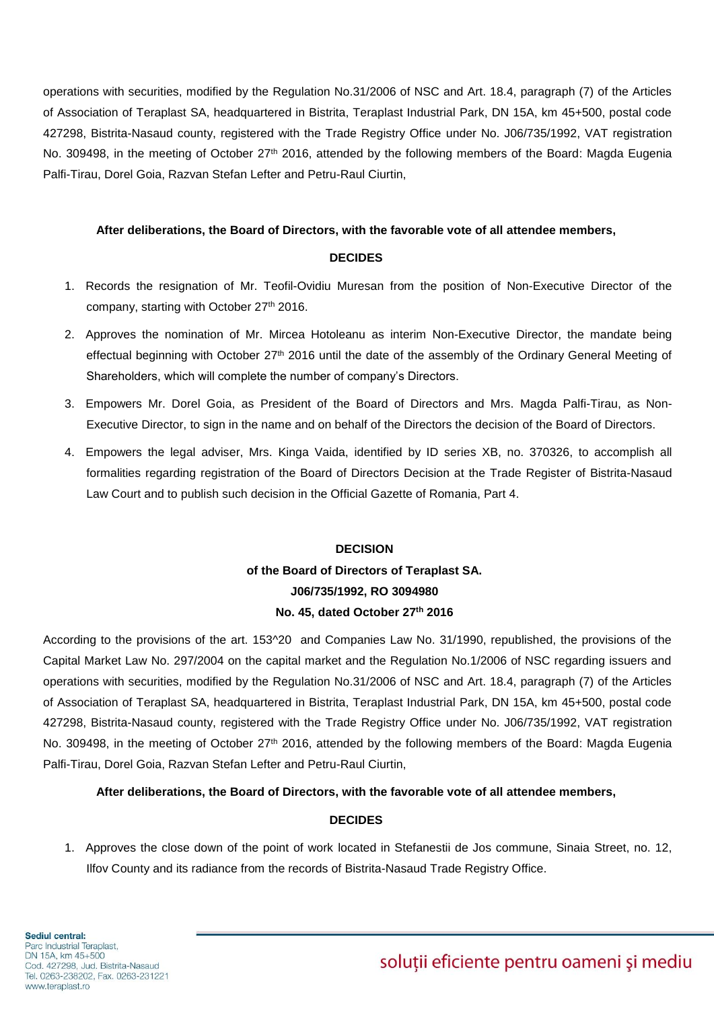operations with securities, modified by the Regulation No.31/2006 of NSC and Art. 18.4, paragraph (7) of the Articles of Association of Teraplast SA, headquartered in Bistrita, Teraplast Industrial Park, DN 15A, km 45+500, postal code 427298, Bistrita-Nasaud county, registered with the Trade Registry Office under No. J06/735/1992, VAT registration No. 309498, in the meeting of October 27<sup>th</sup> 2016, attended by the following members of the Board: Magda Eugenia Palfi-Tirau, Dorel Goia, Razvan Stefan Lefter and Petru-Raul Ciurtin,

#### **After deliberations, the Board of Directors, with the favorable vote of all attendee members,**

### **DECIDES**

- 1. Records the resignation of Mr. Teofil-Ovidiu Muresan from the position of Non-Executive Director of the company, starting with October 27<sup>th</sup> 2016.
- 2. Approves the nomination of Mr. Mircea Hotoleanu as interim Non-Executive Director, the mandate being effectual beginning with October 27<sup>th</sup> 2016 until the date of the assembly of the Ordinary General Meeting of Shareholders, which will complete the number of company's Directors.
- 3. Empowers Mr. Dorel Goia, as President of the Board of Directors and Mrs. Magda Palfi-Tirau, as Non-Executive Director, to sign in the name and on behalf of the Directors the decision of the Board of Directors.
- 4. Empowers the legal adviser, Mrs. Kinga Vaida, identified by ID series XB, no. 370326, to accomplish all formalities regarding registration of the Board of Directors Decision at the Trade Register of Bistrita-Nasaud Law Court and to publish such decision in the Official Gazette of Romania, Part 4.

# **DECISION of the Board of Directors of Teraplast SA. J06/735/1992, RO 3094980 No. 45, dated October 27th 2016**

According to the provisions of the art. 153^20 and Companies Law No. 31/1990, republished, the provisions of the Capital Market Law No. 297/2004 on the capital market and the Regulation No.1/2006 of NSC regarding issuers and operations with securities, modified by the Regulation No.31/2006 of NSC and Art. 18.4, paragraph (7) of the Articles of Association of Teraplast SA, headquartered in Bistrita, Teraplast Industrial Park, DN 15A, km 45+500, postal code 427298, Bistrita-Nasaud county, registered with the Trade Registry Office under No. J06/735/1992, VAT registration No. 309498, in the meeting of October 27<sup>th</sup> 2016, attended by the following members of the Board: Magda Eugenia Palfi-Tirau, Dorel Goia, Razvan Stefan Lefter and Petru-Raul Ciurtin,

# **After deliberations, the Board of Directors, with the favorable vote of all attendee members,**

# **DECIDES**

1. Approves the close down of the point of work located in Stefanestii de Jos commune, Sinaia Street, no. 12, Ilfov County and its radiance from the records of Bistrita-Nasaud Trade Registry Office.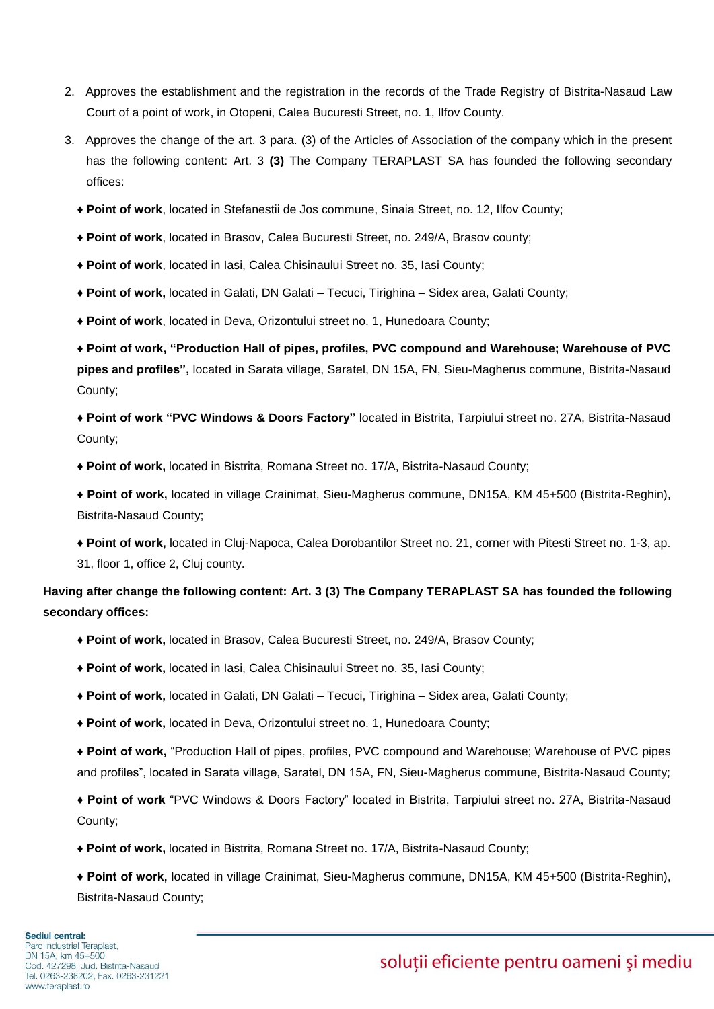- 2. Approves the establishment and the registration in the records of the Trade Registry of Bistrita-Nasaud Law Court of a point of work, in Otopeni, Calea Bucuresti Street, no. 1, Ilfov County.
- 3. Approves the change of the art. 3 para. (3) of the Articles of Association of the company which in the present has the following content: Art. 3 **(3)** The Company TERAPLAST SA has founded the following secondary offices:
	- ♦ **Point of work**, located in Stefanestii de Jos commune, Sinaia Street, no. 12, Ilfov County;
	- ♦ **Point of work**, located in Brasov, Calea Bucuresti Street, no. 249/A, Brasov county;
	- ♦ **Point of work**, located in Iasi, Calea Chisinaului Street no. 35, Iasi County;
	- ♦ **Point of work,** located in Galati, DN Galati Tecuci, Tirighina Sidex area, Galati County;
	- ♦ **Point of work**, located in Deva, Orizontului street no. 1, Hunedoara County;

♦ **Point of work, "Production Hall of pipes, profiles, PVC compound and Warehouse; Warehouse of PVC pipes and profiles",** located in Sarata village, Saratel, DN 15A, FN, Sieu-Magherus commune, Bistrita-Nasaud County;

♦ **Point of work "PVC Windows & Doors Factory"** located in Bistrita, Tarpiului street no. 27A, Bistrita-Nasaud County;

♦ **Point of work,** located in Bistrita, Romana Street no. 17/A, Bistrita-Nasaud County;

♦ **Point of work,** located in village Crainimat, Sieu-Magherus commune, DN15A, KM 45+500 (Bistrita-Reghin), Bistrita-Nasaud County;

♦ **Point of work,** located in Cluj-Napoca, Calea Dorobantilor Street no. 21, corner with Pitesti Street no. 1-3, ap. 31, floor 1, office 2, Cluj county.

**Having after change the following content: Art. 3 (3) The Company TERAPLAST SA has founded the following secondary offices:**

- ♦ **Point of work,** located in Brasov, Calea Bucuresti Street, no. 249/A, Brasov County;
- **♦ Point of work,** located in Iasi, Calea Chisinaului Street no. 35, Iasi County;
- **♦ Point of work,** located in Galati, DN Galati Tecuci, Tirighina Sidex area, Galati County;
- **♦ Point of work,** located in Deva, Orizontului street no. 1, Hunedoara County;

**♦ Point of work,** "Production Hall of pipes, profiles, PVC compound and Warehouse; Warehouse of PVC pipes and profiles", located in Sarata village, Saratel, DN 15A, FN, Sieu-Magherus commune, Bistrita-Nasaud County;

**♦ Point of work** "PVC Windows & Doors Factory" located in Bistrita, Tarpiului street no. 27A, Bistrita-Nasaud County;

**♦ Point of work,** located in Bistrita, Romana Street no. 17/A, Bistrita-Nasaud County;

**♦ Point of work,** located in village Crainimat, Sieu-Magherus commune, DN15A, KM 45+500 (Bistrita-Reghin), Bistrita-Nasaud County;